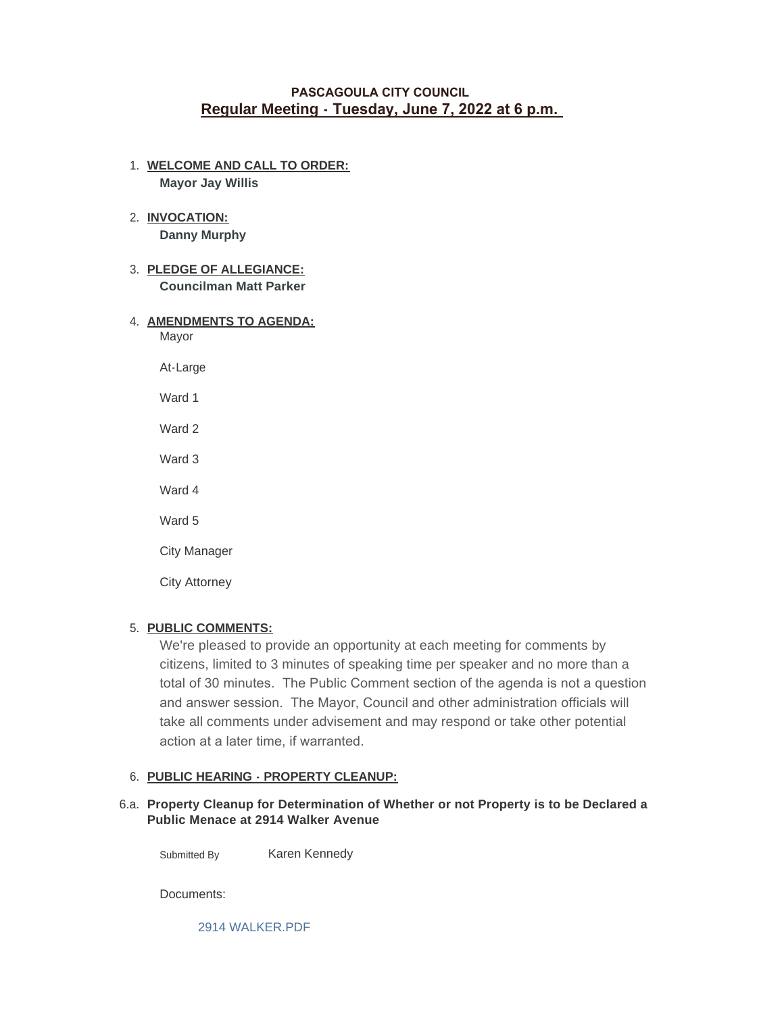# **PASCAGOULA CITY COUNCIL Regular Meeting - Tuesday, June 7, 2022 at 6 p.m.**

- **WELCOME AND CALL TO ORDER:** 1. **Mayor Jay Willis**
- 2. INVOCATION: **Danny Murphy**
- **PLEDGE OF ALLEGIANCE:**  3. **Councilman Matt Parker**

# **AMENDMENTS TO AGENDA:** 4.

Mayor

At-Large

Ward 1

Ward 2

Ward 3

Ward 4

Ward 5

City Manager

City Attorney

# **PUBLIC COMMENTS:**  5.

We're pleased to provide an opportunity at each meeting for comments by citizens, limited to 3 minutes of speaking time per speaker and no more than a total of 30 minutes. The Public Comment section of the agenda is not a question and answer session. The Mayor, Council and other administration officials will take all comments under advisement and may respond or take other potential action at a later time, if warranted.

### **PUBLIC HEARING - PROPERTY CLEANUP:**  6.

# **Property Cleanup for Determination of Whether or not Property is to be Declared a**  6.a. **Public Menace at 2914 Walker Avenue**

Karen Kennedy Submitted By

Documents:

[2914 WALKER.PDF](http://www.cityofpascagoula.com/AgendaCenter/ViewFile/Item/8879?fileID=11923)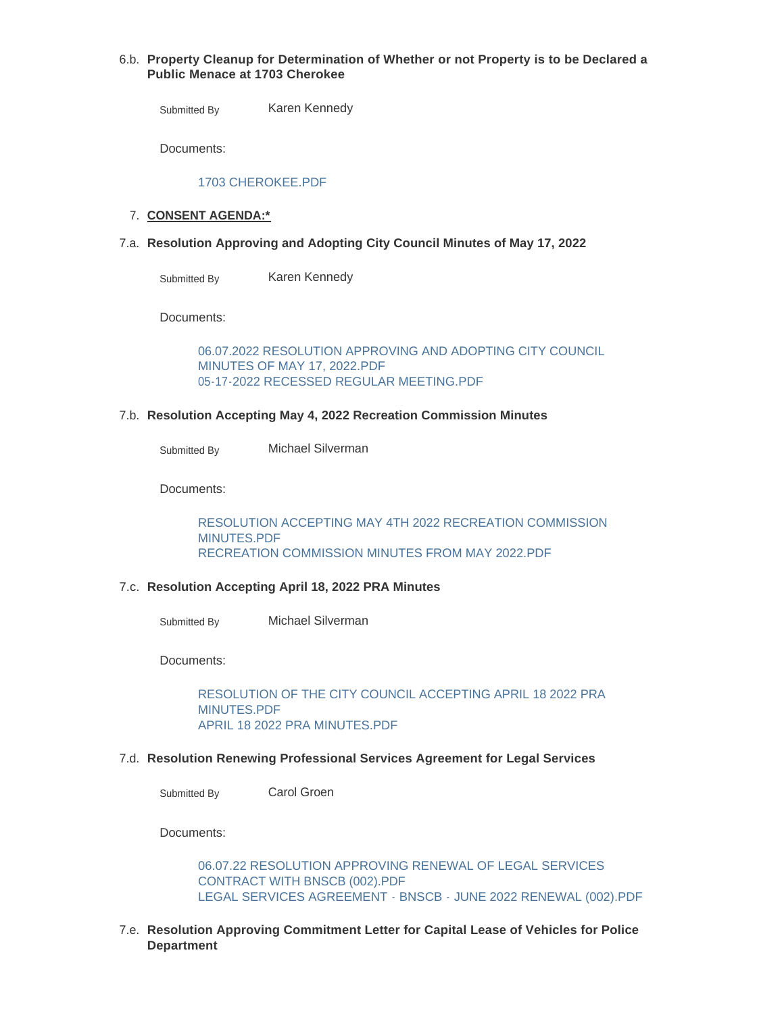### **Property Cleanup for Determination of Whether or not Property is to be Declared a**  6.b. **Public Menace at 1703 Cherokee**

Karen Kennedy Submitted By

Documents:

### [1703 CHEROKEE.PDF](http://www.cityofpascagoula.com/AgendaCenter/ViewFile/Item/8878?fileID=11922)

# **CONSENT AGENDA:\*** 7.

**Resolution Approving and Adopting City Council Minutes of May 17, 2022**  7.a.

Karen Kennedy Submitted By

Documents:

[06.07.2022 RESOLUTION APPROVING AND ADOPTING CITY COUNCIL](http://www.cityofpascagoula.com/AgendaCenter/ViewFile/Item/8917?fileID=11964)  MINUTES OF MAY 17, 2022.PDF [05-17-2022 RECESSED REGULAR MEETING.PDF](http://www.cityofpascagoula.com/AgendaCenter/ViewFile/Item/8917?fileID=11969)

### **Resolution Accepting May 4, 2022 Recreation Commission Minutes** 7.b.

Michael Silverman Submitted By

Documents:

[RESOLUTION ACCEPTING MAY 4TH 2022 RECREATION COMMISSION](http://www.cityofpascagoula.com/AgendaCenter/ViewFile/Item/8916?fileID=11961)  MINUTES PDF [RECREATION COMMISSION MINUTES FROM MAY 2022.PDF](http://www.cityofpascagoula.com/AgendaCenter/ViewFile/Item/8916?fileID=11960)

### **Resolution Accepting April 18, 2022 PRA Minutes**  7.c.

Michael Silverman Submitted By

Documents:

[RESOLUTION OF THE CITY COUNCIL ACCEPTING APRIL 18 2022 PRA](http://www.cityofpascagoula.com/AgendaCenter/ViewFile/Item/8874?fileID=11914)  MINUTES.PDF [APRIL 18 2022 PRA MINUTES.PDF](http://www.cityofpascagoula.com/AgendaCenter/ViewFile/Item/8874?fileID=11915)

### **Resolution Renewing Professional Services Agreement for Legal Services** 7.d.

Carol Groen Submitted By

Documents:

[06.07.22 RESOLUTION APPROVING RENEWAL OF LEGAL SERVICES](http://www.cityofpascagoula.com/AgendaCenter/ViewFile/Item/8911?fileID=11956)  CONTRACT WITH BNSCB (002).PDF [LEGAL SERVICES AGREEMENT - BNSCB - JUNE 2022 RENEWAL \(002\).PDF](http://www.cityofpascagoula.com/AgendaCenter/ViewFile/Item/8911?fileID=11957)

**Resolution Approving Commitment Letter for Capital Lease of Vehicles for Police**  7.e. **Department**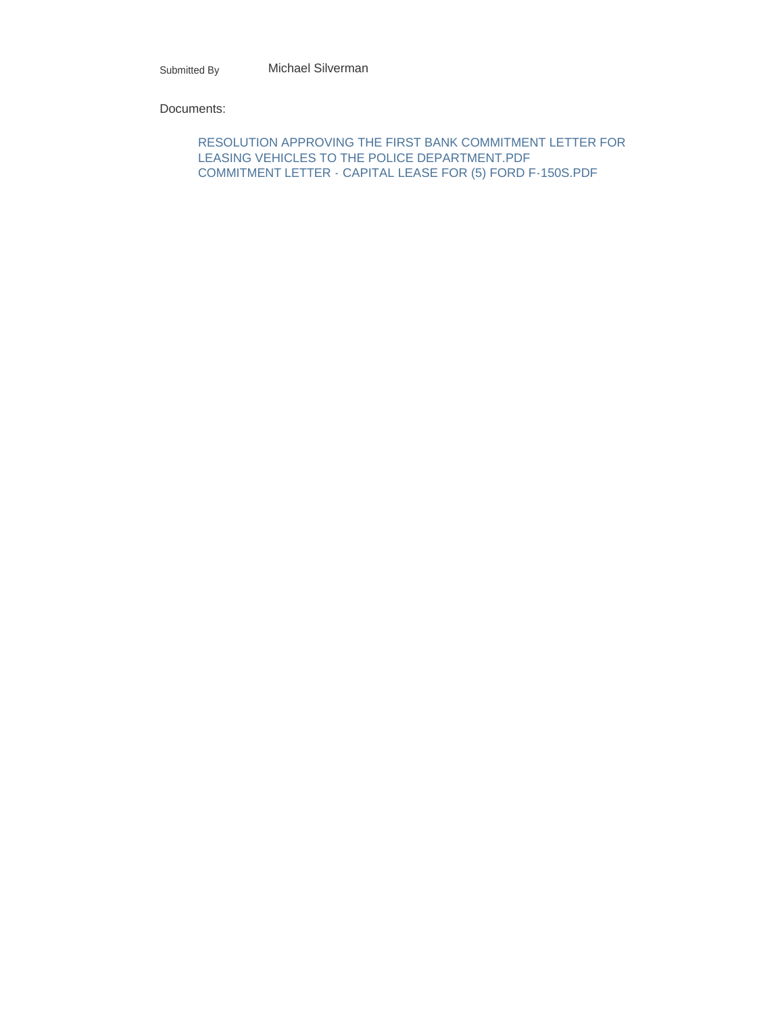Documents:

[RESOLUTION APPROVING THE FIRST BANK COMMITMENT LETTER FOR](http://www.cityofpascagoula.com/AgendaCenter/ViewFile/Item/8876?fileID=11920)  LEASING VEHICLES TO THE POLICE DEPARTMENT.PDF [COMMITMENT LETTER - CAPITAL LEASE FOR \(5\) FORD F-150S.PDF](http://www.cityofpascagoula.com/AgendaCenter/ViewFile/Item/8876?fileID=11919)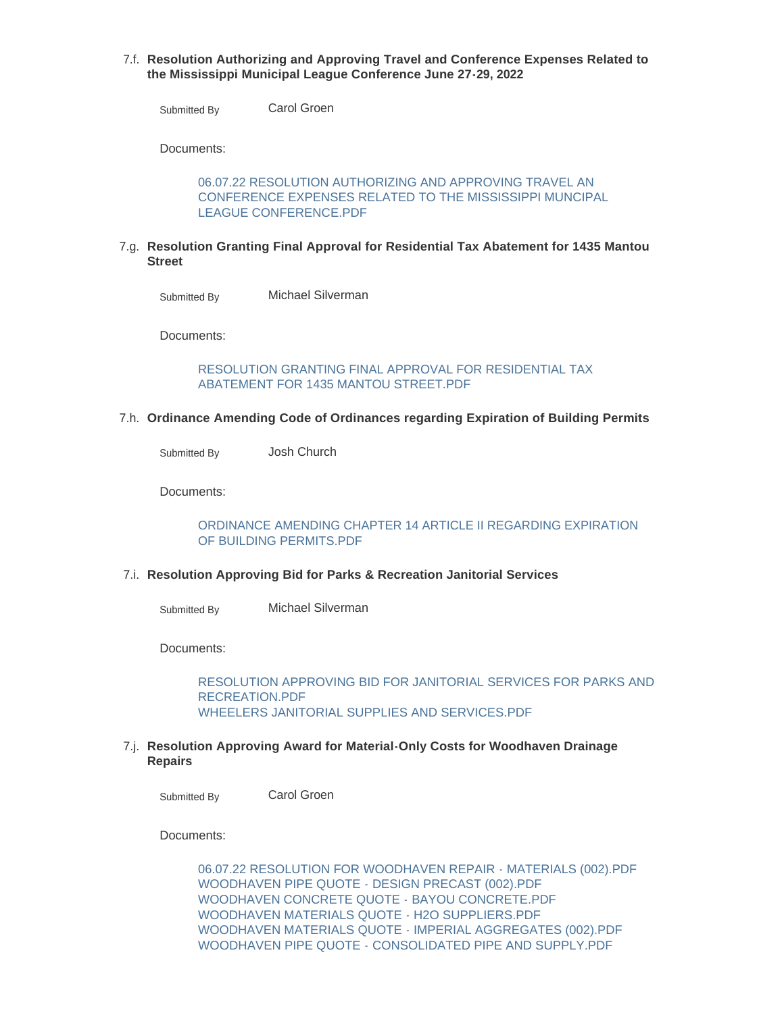**Resolution Authorizing and Approving Travel and Conference Expenses Related to**  7.f. **the Mississippi Municipal League Conference June 27-29, 2022**

Carol Groen Submitted By

Documents:

06.07.22 RESOLUTION AUTHORIZING AND APPROVING TRAVEL AN [CONFERENCE EXPENSES RELATED TO THE MISSISSIPPI MUNCIPAL](http://www.cityofpascagoula.com/AgendaCenter/ViewFile/Item/8913?fileID=11971)  LEAGUE CONFERENCE.PDF

#### **Resolution Granting Final Approval for Residential Tax Abatement for 1435 Mantou**  7.g. **Street**

Michael Silverman Submitted By

Documents:

### [RESOLUTION GRANTING FINAL APPROVAL FOR RESIDENTIAL TAX](http://www.cityofpascagoula.com/AgendaCenter/ViewFile/Item/8877?fileID=11921)  ABATEMENT FOR 1435 MANTOU STREET.PDF

#### **Ordinance Amending Code of Ordinances regarding Expiration of Building Permits**  7.h.

Josh Church Submitted By

Documents:

[ORDINANCE AMENDING CHAPTER 14 ARTICLE II REGARDING EXPIRATION](http://www.cityofpascagoula.com/AgendaCenter/ViewFile/Item/8875?fileID=11917)  OF BUILDING PERMITS.PDF

### **Resolution Approving Bid for Parks & Recreation Janitorial Services**  7.i.

Michael Silverman Submitted By

Documents:

[RESOLUTION APPROVING BID FOR JANITORIAL SERVICES FOR PARKS AND](http://www.cityofpascagoula.com/AgendaCenter/ViewFile/Item/8880?fileID=11927)  RECREATION.PDF [WHEELERS JANITORIAL SUPPLIES AND SERVICES.PDF](http://www.cityofpascagoula.com/AgendaCenter/ViewFile/Item/8880?fileID=11926)

### **Resolution Approving Award for Material-Only Costs for Woodhaven Drainage**  7.j. **Repairs**

Submitted By **Carol Groen** 

Documents:

[06.07.22 RESOLUTION FOR WOODHAVEN REPAIR - MATERIALS \(002\).PDF](http://www.cityofpascagoula.com/AgendaCenter/ViewFile/Item/8910?fileID=11950) [WOODHAVEN PIPE QUOTE - DESIGN PRECAST \(002\).PDF](http://www.cityofpascagoula.com/AgendaCenter/ViewFile/Item/8910?fileID=11951) [WOODHAVEN CONCRETE QUOTE - BAYOU CONCRETE.PDF](http://www.cityofpascagoula.com/AgendaCenter/ViewFile/Item/8910?fileID=11952) [WOODHAVEN MATERIALS QUOTE - H2O SUPPLIERS.PDF](http://www.cityofpascagoula.com/AgendaCenter/ViewFile/Item/8910?fileID=11953) [WOODHAVEN MATERIALS QUOTE - IMPERIAL AGGREGATES \(002\).PDF](http://www.cityofpascagoula.com/AgendaCenter/ViewFile/Item/8910?fileID=11954) [WOODHAVEN PIPE QUOTE - CONSOLIDATED PIPE AND SUPPLY.PDF](http://www.cityofpascagoula.com/AgendaCenter/ViewFile/Item/8910?fileID=11955)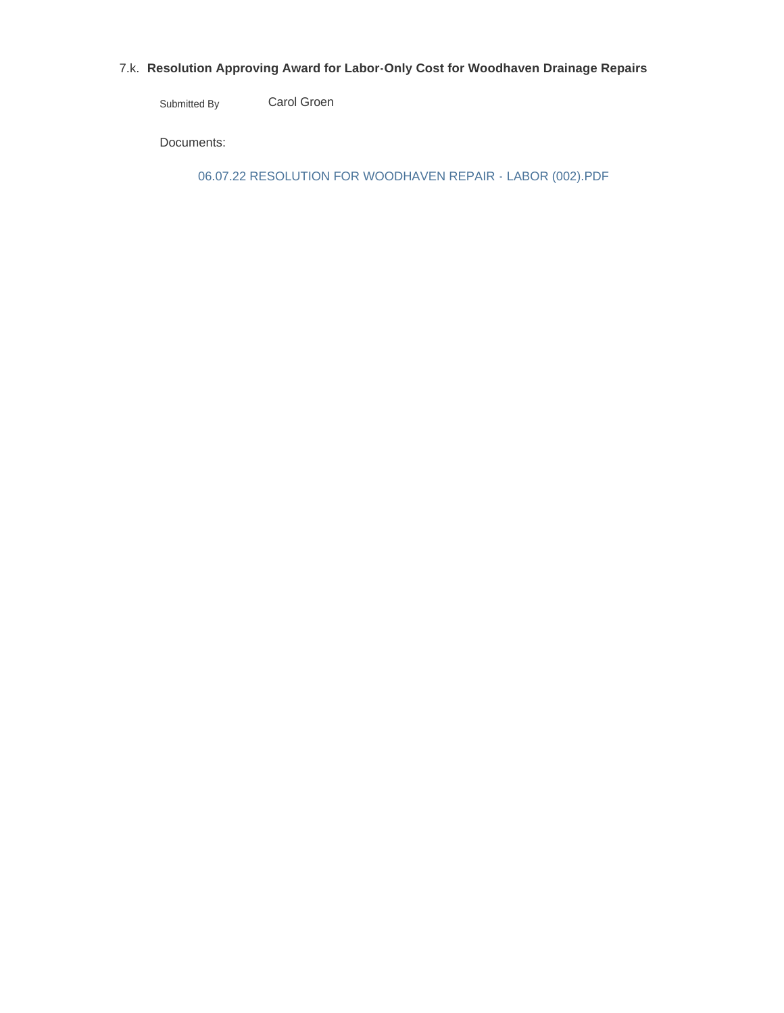### **Resolution Approving Award for Labor-Only Cost for Woodhaven Drainage Repairs** 7.k.

Carol Groen Submitted By

Documents:

[06.07.22 RESOLUTION FOR WOODHAVEN REPAIR - LABOR \(002\).PDF](http://www.cityofpascagoula.com/AgendaCenter/ViewFile/Item/8909?fileID=11949)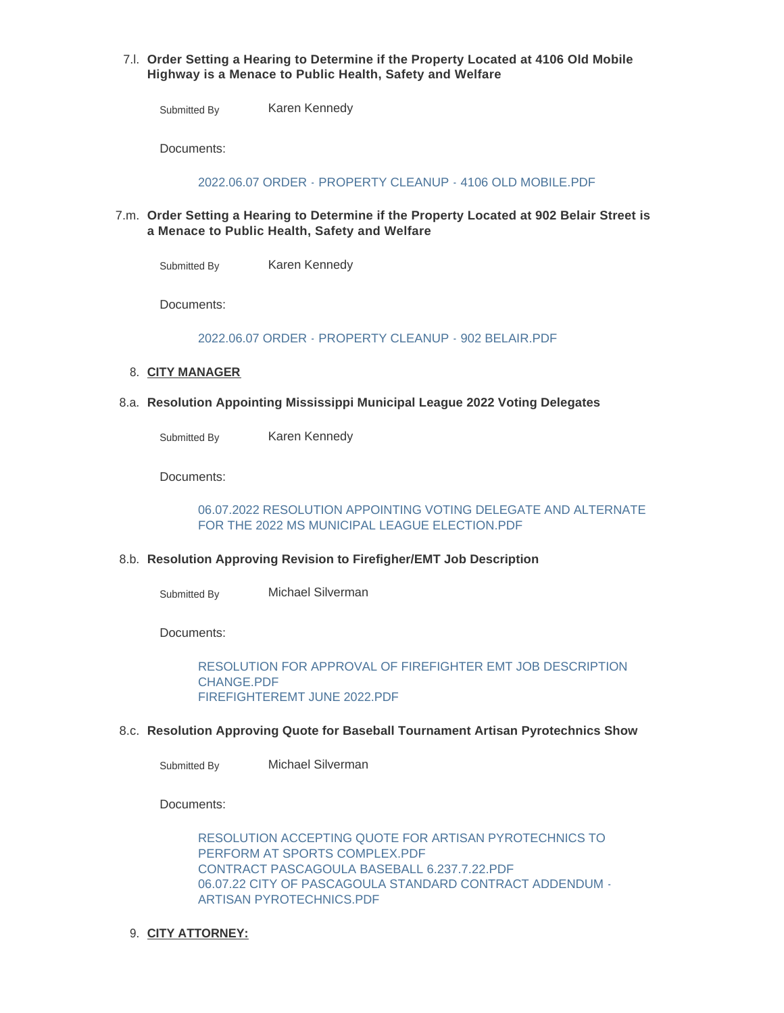### **Order Setting a Hearing to Determine if the Property Located at 4106 Old Mobile**  7.l. **Highway is a Menace to Public Health, Safety and Welfare**

Karen Kennedy Submitted By

Documents:

[2022.06.07 ORDER - PROPERTY CLEANUP - 4106 OLD MOBILE.PDF](http://www.cityofpascagoula.com/AgendaCenter/ViewFile/Item/8903?fileID=11935)

**Order Setting a Hearing to Determine if the Property Located at 902 Belair Street is**  7.m. **a Menace to Public Health, Safety and Welfare**

Karen Kennedy Submitted By

Documents:

#### [2022.06.07 ORDER - PROPERTY CLEANUP - 902 BELAIR.PDF](http://www.cityofpascagoula.com/AgendaCenter/ViewFile/Item/8904?fileID=11936)

### **CITY MANAGER** 8.

**Resolution Appointing Mississippi Municipal League 2022 Voting Delegates** 8.a.

Karen Kennedy Submitted By

Documents:

[06.07.2022 RESOLUTION APPOINTING VOTING DELEGATE AND ALTERNATE](http://www.cityofpascagoula.com/AgendaCenter/ViewFile/Item/8914?fileID=11959)  FOR THE 2022 MS MUNICIPAL LEAGUE ELECTION.PDF

### **Resolution Approving Revision to Firefigher/EMT Job Description** 8.b.

Michael Silverman Submitted By

Documents:

[RESOLUTION FOR APPROVAL OF FIREFIGHTER EMT JOB DESCRIPTION](http://www.cityofpascagoula.com/AgendaCenter/ViewFile/Item/8907?fileID=11946)  CHANGE.PDF [FIREFIGHTEREMT JUNE 2022.PDF](http://www.cityofpascagoula.com/AgendaCenter/ViewFile/Item/8907?fileID=11947)

### **Resolution Approving Quote for Baseball Tournament Artisan Pyrotechnics Show** 8.c.

Michael Silverman Submitted By

Documents:

[RESOLUTION ACCEPTING QUOTE FOR ARTISAN PYROTECHNICS TO](http://www.cityofpascagoula.com/AgendaCenter/ViewFile/Item/8882?fileID=11962)  PERFORM AT SPORTS COMPLEX.PDF [CONTRACT PASCAGOULA BASEBALL 6.237.7.22.PDF](http://www.cityofpascagoula.com/AgendaCenter/ViewFile/Item/8882?fileID=11933) [06.07.22 CITY OF PASCAGOULA STANDARD CONTRACT ADDENDUM -](http://www.cityofpascagoula.com/AgendaCenter/ViewFile/Item/8882?fileID=11965) ARTISAN PYROTECHNICS.PDF

### 9. <u>CITY ATTORNEY:</u>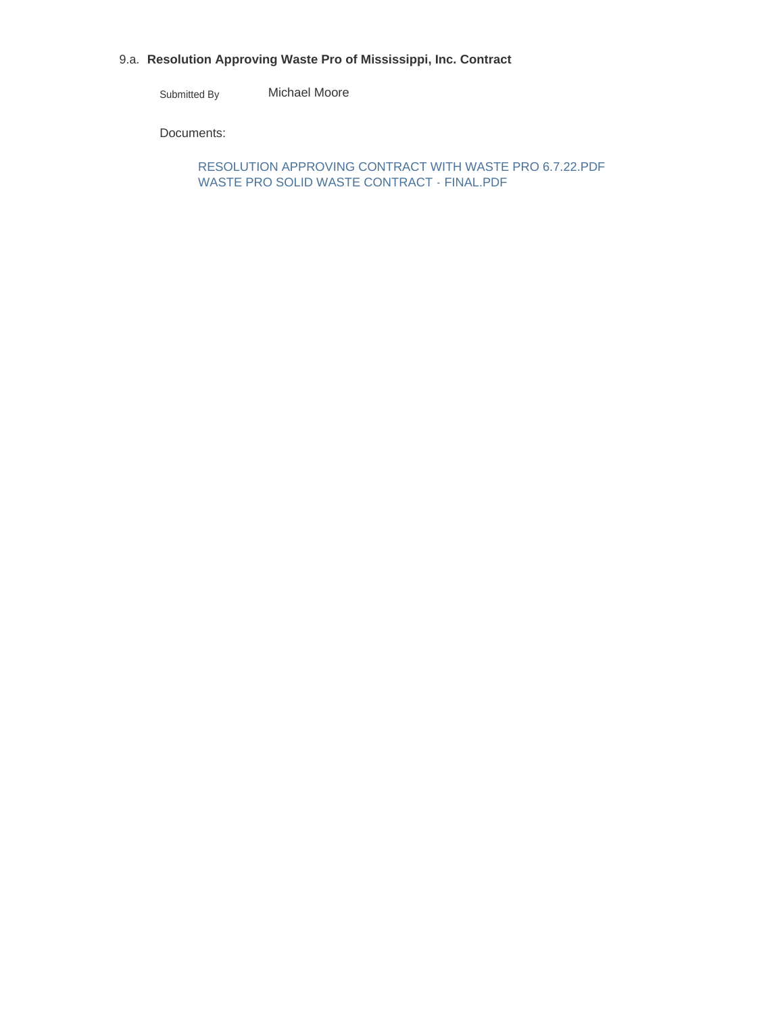### **Resolution Approving Waste Pro of Mississippi, Inc. Contract**  9.a.

Submitted By **Michael Moore** 

Documents:

[RESOLUTION APPROVING CONTRACT WITH WASTE PRO 6.7.22.PDF](http://www.cityofpascagoula.com/AgendaCenter/ViewFile/Item/8860?fileID=11966) [WASTE PRO SOLID WASTE CONTRACT - FINAL.PDF](http://www.cityofpascagoula.com/AgendaCenter/ViewFile/Item/8860?fileID=11967)